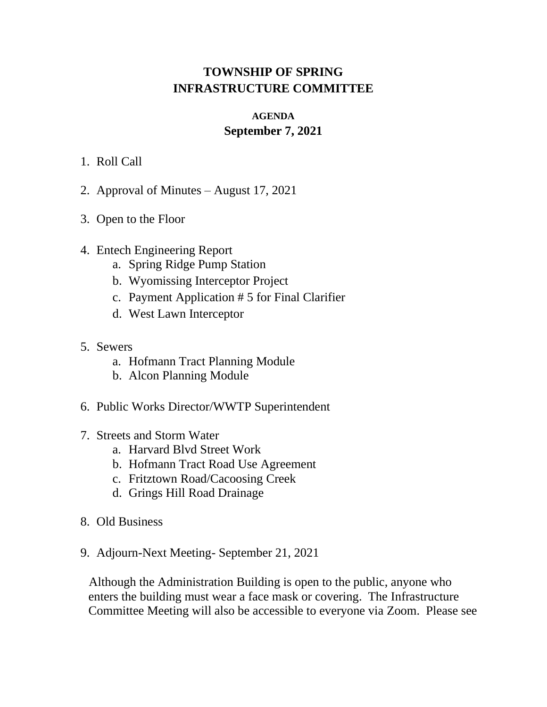## **TOWNSHIP OF SPRING INFRASTRUCTURE COMMITTEE**

## **AGENDA September 7, 2021**

- 1. Roll Call
- 2. Approval of Minutes August 17, 2021
- 3. Open to the Floor
- 4. Entech Engineering Report
	- a. Spring Ridge Pump Station
	- b. Wyomissing Interceptor Project
	- c. Payment Application # 5 for Final Clarifier
	- d. West Lawn Interceptor
- 5. Sewers
	- a. Hofmann Tract Planning Module
	- b. Alcon Planning Module
- 6. Public Works Director/WWTP Superintendent
- 7. Streets and Storm Water
	- a. Harvard Blvd Street Work
	- b. Hofmann Tract Road Use Agreement
	- c. Fritztown Road/Cacoosing Creek
	- d. Grings Hill Road Drainage
- 8. Old Business
- 9. Adjourn-Next Meeting- September 21, 2021

Although the Administration Building is open to the public, anyone who enters the building must wear a face mask or covering. The Infrastructure Committee Meeting will also be accessible to everyone via Zoom. Please see